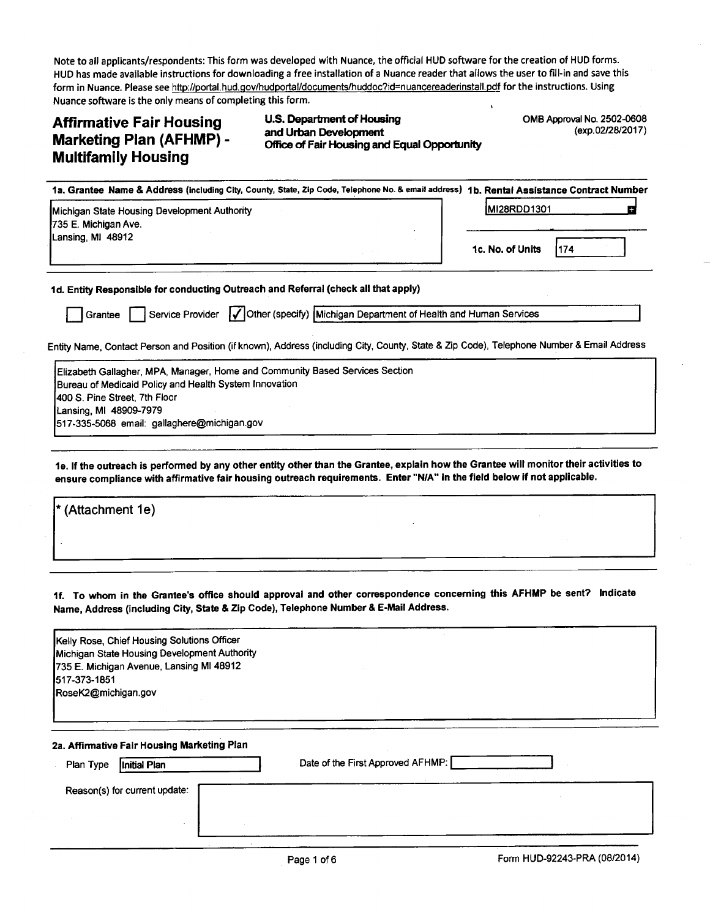Note to all applicants/respondents: This form was developed with Nuance, the official HUD software for the creation of HUD forms. HUD has made available instructions for downloading a free installation of a Nuance reader that allows the user tofill-in and save this form in Nuance. Please see http://portal.hud.gov/hudportal/documents/huddoc?id=nuancereaderinstall.pdf for the instructions. Using Nuance software is the only means of completing this form.

# Marketing Plan (AFHMP) -Multifamily Housing

Affirmative Fair Housing U.S. Department of Housing OMB Approval No. 2502-0608<br>An Lucky Diam (A Filian D. and Urban Development Office of Fair Housing and Equal Opportunity

| 1a. Grantee Name & Address (including City, County, State, Zip Code, Telephone No. & email address) 1b. Rental Assistance Contract Number |                          |
|-------------------------------------------------------------------------------------------------------------------------------------------|--------------------------|
| Michigan State Housing Development Authority<br><b>735 E. Michigan Ave.</b><br>Lansing MI 48912                                           | <b>IMI28RDD1301</b>      |
|                                                                                                                                           | 1c. No. of Units<br>1174 |

1 d. Entity Responsible for conducting Outreach and Referral (check all that apply)

Grantee **F** Service Provider **V** Other (specify) Michigan Department of Health and Human Services

Entity Name, Contact Person and Position (if known), Address (including City, County, State 8 Zip Code), Telephone Number &Email Address

| Elizabeth Gallagher, MPA, Manager, Home and Community Based Services Section |  |  |  |  |  |
|------------------------------------------------------------------------------|--|--|--|--|--|
| Bureau of Medicaid Policy and Health System Innovation                       |  |  |  |  |  |
| 1400 S. Pine Street, 7th Floor                                               |  |  |  |  |  |
| Lansing, MI 48909-7979                                                       |  |  |  |  |  |
| 517-335-5068 email: gallaghere@michigan.gov                                  |  |  |  |  |  |

1e. If the outreach is performed by any other entity other than the Grantee, explain how the Grantee will monitor their activities to ensure compliance with affirmative fair housing outreach requirements. Enter "N/A" In the field below if not applicable.

| $\vert$ * (Attachment 1e) |  |  |
|---------------------------|--|--|
|                           |  |  |
|                           |  |  |
|                           |  |  |

1f. To whom in the Grantee's office should approval and other correspondence concerning this AFHMP be sent? Indicate Name, Address (including City, State & Zip Code), Telephone Number & E-Mail Address.

| Kelly Rose, Chief Housing Solutions Officer<br>Michigan State Housing Development Authority<br>735 E. Michigan Avenue, Lansing MI 48912<br>1517-373-1851<br>RoseK2@michigan.gov |                                   |
|---------------------------------------------------------------------------------------------------------------------------------------------------------------------------------|-----------------------------------|
| 2a. Affirmative Fair Housing Marketing Plan<br>Plan Type<br>Initial Plan                                                                                                        | Date of the First Approved AFHMP: |
| Reason(s) for current update:                                                                                                                                                   |                                   |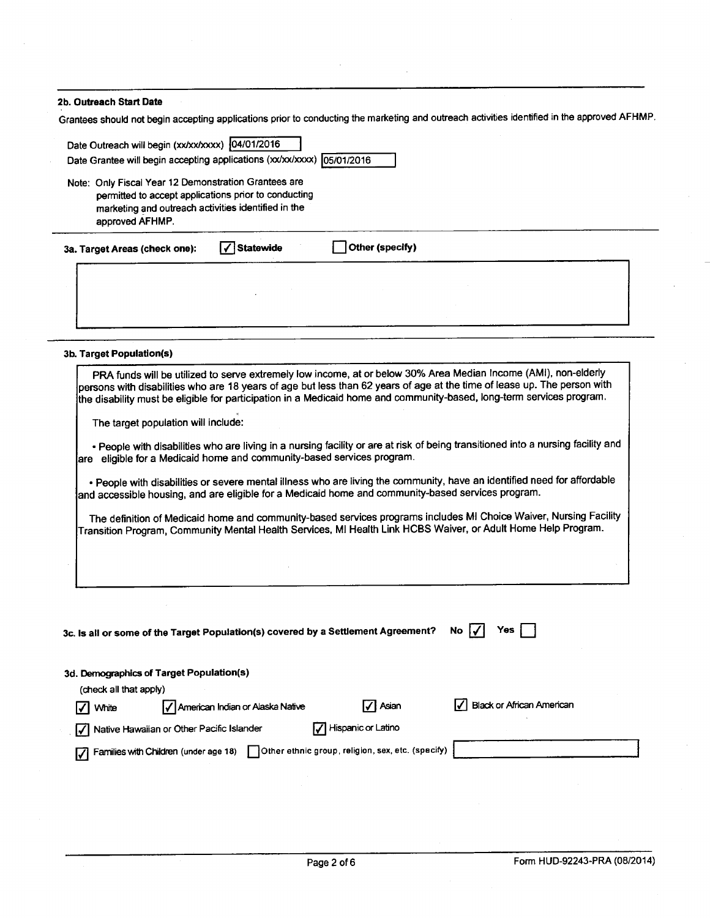| 2b. Outreach Start Date                                                                                                                                                                                                                                                                                                                                                                                     |  |  |  |  |  |
|-------------------------------------------------------------------------------------------------------------------------------------------------------------------------------------------------------------------------------------------------------------------------------------------------------------------------------------------------------------------------------------------------------------|--|--|--|--|--|
| Grantees should not begin accepting applications prior to conducting the marketing and outreach activities identified in the approved AFHMP.                                                                                                                                                                                                                                                                |  |  |  |  |  |
| Date Outreach will begin (xx/xx/xxxx) (04/01/2016<br>Date Grantee will begin accepting applications (xx/xx/xxxx) 05/01/2016                                                                                                                                                                                                                                                                                 |  |  |  |  |  |
| Note: Only Fiscal Year 12 Demonstration Grantees are<br>permitted to accept applications prior to conducting<br>marketing and outreach activities identified in the<br>approved AFHMP.                                                                                                                                                                                                                      |  |  |  |  |  |
| <b>Statewide</b><br>Other (specify)<br>3a. Target Areas (check one):                                                                                                                                                                                                                                                                                                                                        |  |  |  |  |  |
|                                                                                                                                                                                                                                                                                                                                                                                                             |  |  |  |  |  |
| 3b. Target Population(s)                                                                                                                                                                                                                                                                                                                                                                                    |  |  |  |  |  |
| PRA funds will be utilized to serve extremely low income, at or below 30% Area Median Income (AMI), non-elderly<br>persons with disabilities who are 18 years of age but less than 62 years of age at the time of lease up. The person with<br>the disability must be eligible for participation in a Medicaid home and community-based, long-term services program.<br>The target population will include: |  |  |  |  |  |
| . People with disabilities who are living in a nursing facility or are at risk of being transitioned into a nursing facility and<br>are eligible for a Medicaid home and community-based services program.                                                                                                                                                                                                  |  |  |  |  |  |
| . People with disabilities or severe mental illness who are living the community, have an identified need for affordable<br>and accessible housing, and are eligible for a Medicaid home and community-based services program.                                                                                                                                                                              |  |  |  |  |  |
| The definition of Medicaid home and community-based services programs includes MI Choice Waiver, Nursing Facility<br>Transition Program, Community Mental Health Services, MI Health Link HCBS Waiver, or Adult Home Help Program.                                                                                                                                                                          |  |  |  |  |  |
|                                                                                                                                                                                                                                                                                                                                                                                                             |  |  |  |  |  |
|                                                                                                                                                                                                                                                                                                                                                                                                             |  |  |  |  |  |
| 3c. Is all or some of the Target Population(s) covered by a Settlement Agreement?<br>No<br>Yes                                                                                                                                                                                                                                                                                                              |  |  |  |  |  |
| 3d. Demographics of Target Population(s)<br>(check all that apply)                                                                                                                                                                                                                                                                                                                                          |  |  |  |  |  |
| <b>Black or African American</b><br>Asian<br>American Indian or Alaska Native<br><b>White</b>                                                                                                                                                                                                                                                                                                               |  |  |  |  |  |
| Hispanic or Latino<br>Native Hawaiian or Other Pacific Islander                                                                                                                                                                                                                                                                                                                                             |  |  |  |  |  |
| Other ethnic group, religion, sex, etc. (specify)<br>Families with Children (under age 18)                                                                                                                                                                                                                                                                                                                  |  |  |  |  |  |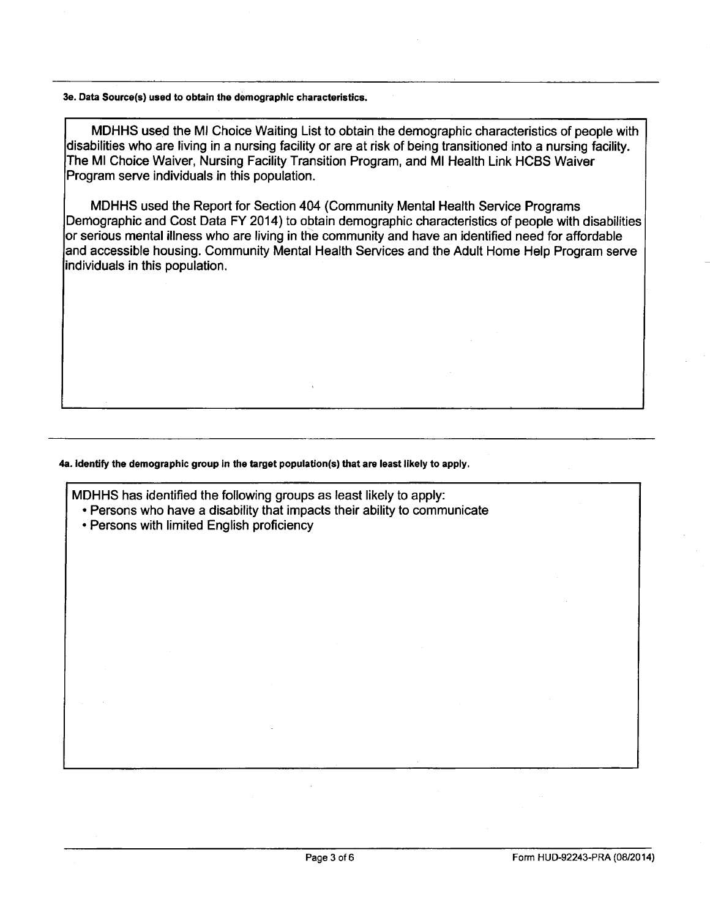#### 3e. Data Source(s) used to obtain the demographic characteristics.

MDHHS used the M! Choice Waiting List to obtain the demographic characteristics of people with disabilities who are living in a nursing facility or are at risk of being transitioned into a nursing facility. The MI Choice Waiver, Nursing Facility Transition Program, and MI Health Link HCBS Waiver Program serve individuals in this population.

MDHHS used the Report for Section 404 (Community Mental Health Service Programs Demographic and Cost Data FY 2014) to obtain demographic characteristics of people with disabilities or serious mental illness who are living in the community and have an identified need for affordable and accessible housing. Community Mental Health Services and the Adult Home Help Program serve individuals in this population.

### 4a. Identify the demographic group in the target population(s) that are least likely to apply.

MDHHS has identified the following groups as least likely to apply: • Persons who have a disability that impacts their ability to communicate

• Persons with limited English proficiency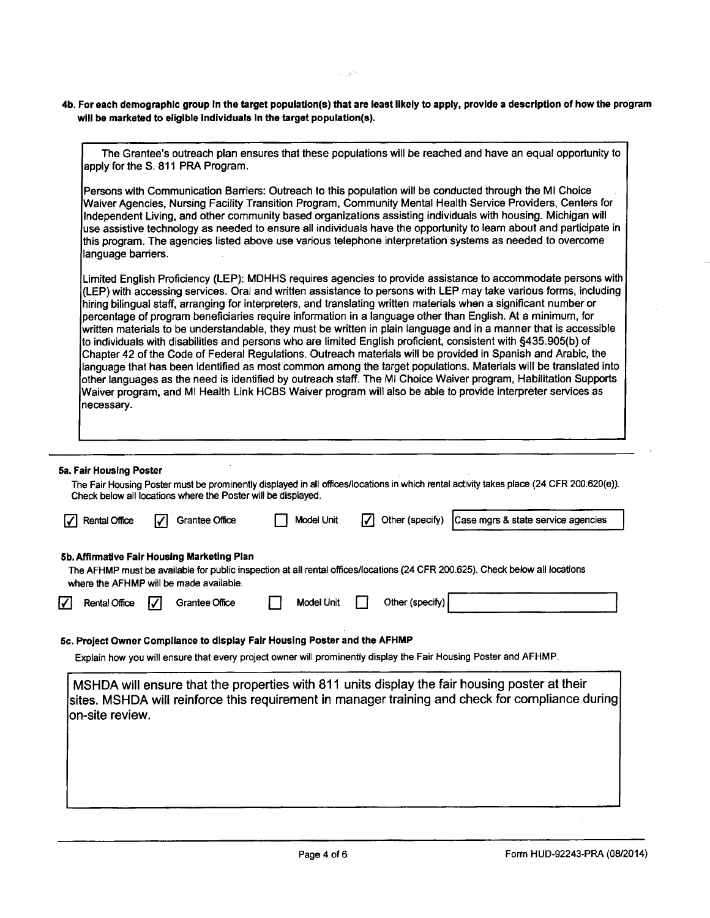4b. For each demographic group in the target population(s) that are least likely to apply, provide a description of how the program will be marketed to eligible individuals in the target population(s).

 $\alpha=\sqrt{2\sqrt{2}}$ 

| apply for the S. 811 PRA Program.<br>language barriers.<br>5a. Fair Housing Poster<br>Check below all locations where the Poster will be displayed. |                                                                                                                            |            |            |                 | The Grantee's outreach plan ensures that these populations will be reached and have an equal opportunity to<br>Persons with Communication Barriers: Outreach to this population will be conducted through the MI Choice<br>Waiver Agencies, Nursing Facility Transition Program, Community Mental Health Service Providers, Centers for<br>Independent Living, and other community based organizations assisting individuals with housing. Michigan will<br>use assistive technology as needed to ensure all individuals have the opportunity to learn about and participate in<br>this program. The agencies listed above use various telephone interpretation systems as needed to overcome<br>Limited English Proficiency (LEP): MDHHS requires agencies to provide assistance to accommodate persons with<br>(LEP) with accessing services. Oral and written assistance to persons with LEP may take various forms, including<br>hiring bilingual staff, arranging for interpreters, and translating written materials when a significant number or<br>percentage of program beneficiaries require information in a language other than English. At a minimum, for<br>written materials to be understandable, they must be written in plain language and in a manner that is accessible<br>to individuals with disabilities and persons who are limited English proficient, consistent with §435.905(b) of<br>Chapter 42 of the Code of Federal Regulations. Outreach materials will be provided in Spanish and Arabic, the<br>language that has been identified as most common among the target populations. Materials will be translated into<br>other languages as the need is identified by outreach staff. The MI Choice Waiver program, Habilitation Supports<br>Waiver program, and MI Health Link HCBS Waiver program will also be able to provide interpreter services as |                                                                                                                                                                                                                                                                                                                                                                                                                                                                                              |
|-----------------------------------------------------------------------------------------------------------------------------------------------------|----------------------------------------------------------------------------------------------------------------------------|------------|------------|-----------------|----------------------------------------------------------------------------------------------------------------------------------------------------------------------------------------------------------------------------------------------------------------------------------------------------------------------------------------------------------------------------------------------------------------------------------------------------------------------------------------------------------------------------------------------------------------------------------------------------------------------------------------------------------------------------------------------------------------------------------------------------------------------------------------------------------------------------------------------------------------------------------------------------------------------------------------------------------------------------------------------------------------------------------------------------------------------------------------------------------------------------------------------------------------------------------------------------------------------------------------------------------------------------------------------------------------------------------------------------------------------------------------------------------------------------------------------------------------------------------------------------------------------------------------------------------------------------------------------------------------------------------------------------------------------------------------------------------------------------------------------------------------------------------------------------------------------------------------------------------------------------------------|----------------------------------------------------------------------------------------------------------------------------------------------------------------------------------------------------------------------------------------------------------------------------------------------------------------------------------------------------------------------------------------------------------------------------------------------------------------------------------------------|
|                                                                                                                                                     |                                                                                                                            |            |            |                 |                                                                                                                                                                                                                                                                                                                                                                                                                                                                                                                                                                                                                                                                                                                                                                                                                                                                                                                                                                                                                                                                                                                                                                                                                                                                                                                                                                                                                                                                                                                                                                                                                                                                                                                                                                                                                                                                                        |                                                                                                                                                                                                                                                                                                                                                                                                                                                                                              |
|                                                                                                                                                     |                                                                                                                            |            |            |                 |                                                                                                                                                                                                                                                                                                                                                                                                                                                                                                                                                                                                                                                                                                                                                                                                                                                                                                                                                                                                                                                                                                                                                                                                                                                                                                                                                                                                                                                                                                                                                                                                                                                                                                                                                                                                                                                                                        |                                                                                                                                                                                                                                                                                                                                                                                                                                                                                              |
|                                                                                                                                                     |                                                                                                                            |            |            |                 | The Fair Housing Poster must be prominently displayed in all offices/locations in which rental activity takes place (24 CFR 200.620(e)).                                                                                                                                                                                                                                                                                                                                                                                                                                                                                                                                                                                                                                                                                                                                                                                                                                                                                                                                                                                                                                                                                                                                                                                                                                                                                                                                                                                                                                                                                                                                                                                                                                                                                                                                               |                                                                                                                                                                                                                                                                                                                                                                                                                                                                                              |
|                                                                                                                                                     |                                                                                                                            |            |            |                 |                                                                                                                                                                                                                                                                                                                                                                                                                                                                                                                                                                                                                                                                                                                                                                                                                                                                                                                                                                                                                                                                                                                                                                                                                                                                                                                                                                                                                                                                                                                                                                                                                                                                                                                                                                                                                                                                                        |                                                                                                                                                                                                                                                                                                                                                                                                                                                                                              |
|                                                                                                                                                     |                                                                                                                            |            |            |                 |                                                                                                                                                                                                                                                                                                                                                                                                                                                                                                                                                                                                                                                                                                                                                                                                                                                                                                                                                                                                                                                                                                                                                                                                                                                                                                                                                                                                                                                                                                                                                                                                                                                                                                                                                                                                                                                                                        |                                                                                                                                                                                                                                                                                                                                                                                                                                                                                              |
|                                                                                                                                                     |                                                                                                                            |            |            |                 |                                                                                                                                                                                                                                                                                                                                                                                                                                                                                                                                                                                                                                                                                                                                                                                                                                                                                                                                                                                                                                                                                                                                                                                                                                                                                                                                                                                                                                                                                                                                                                                                                                                                                                                                                                                                                                                                                        |                                                                                                                                                                                                                                                                                                                                                                                                                                                                                              |
|                                                                                                                                                     |                                                                                                                            | Model Unit |            | Other (specify) |                                                                                                                                                                                                                                                                                                                                                                                                                                                                                                                                                                                                                                                                                                                                                                                                                                                                                                                                                                                                                                                                                                                                                                                                                                                                                                                                                                                                                                                                                                                                                                                                                                                                                                                                                                                                                                                                                        |                                                                                                                                                                                                                                                                                                                                                                                                                                                                                              |
| on-site review.                                                                                                                                     |                                                                                                                            |            |            |                 |                                                                                                                                                                                                                                                                                                                                                                                                                                                                                                                                                                                                                                                                                                                                                                                                                                                                                                                                                                                                                                                                                                                                                                                                                                                                                                                                                                                                                                                                                                                                                                                                                                                                                                                                                                                                                                                                                        |                                                                                                                                                                                                                                                                                                                                                                                                                                                                                              |
|                                                                                                                                                     | Grantee Office<br>5b. Affirmative Fair Housing Marketing Plan<br>where the AFHMP will be made available.<br>Grantee Office |            | Model Unit |                 | Other (specify)<br>5c. Project Owner Compilance to display Fair Housing Poster and the AFHMP                                                                                                                                                                                                                                                                                                                                                                                                                                                                                                                                                                                                                                                                                                                                                                                                                                                                                                                                                                                                                                                                                                                                                                                                                                                                                                                                                                                                                                                                                                                                                                                                                                                                                                                                                                                           | Case mgrs & state service agencies<br>The AFHMP must be available for public inspection at all rental offices/locations (24 CFR 200.625). Check below all locations<br>Explain how you will ensure that every project owner will prominently display the Fair Housing Poster and AFHMP.<br>MSHDA will ensure that the properties with 811 units display the fair housing poster at their<br>sites. MSHDA will reinforce this requirement in manager training and check for compliance during |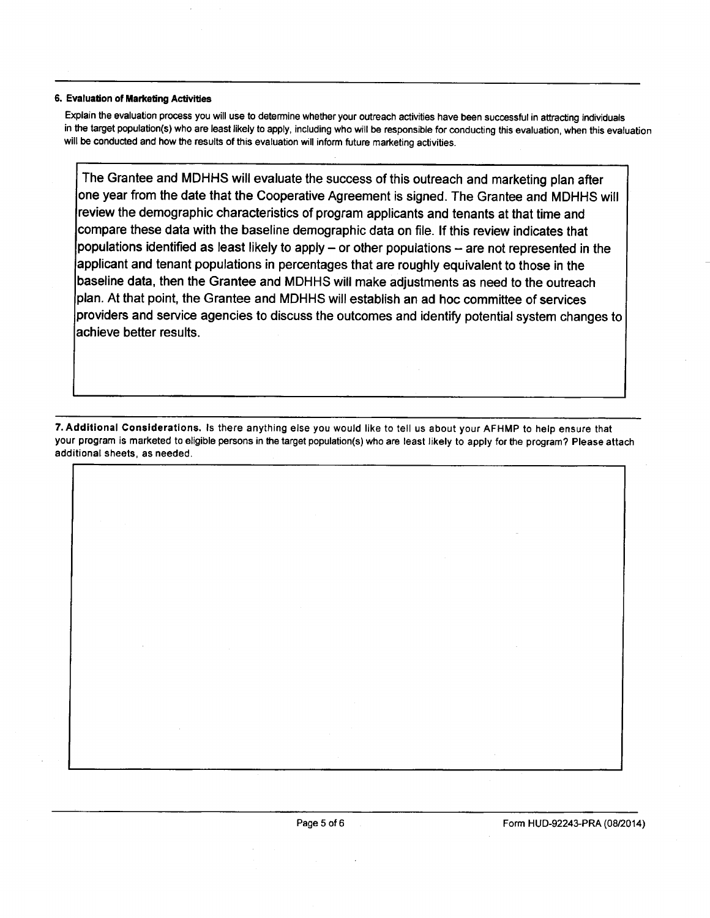#### 6. Evaluation of Marketing Activities

Explain the evaluation process you will use to determine whether your outreach activities have been successful in attracting individuals in the target population(s) who are least likely to apply, including who will be responsible for conducting this evaluation, when this evaluation will be conducted and how the results of this evaluation will inform future marketing activities.

The Grantee and MDHHS will evaluate the success of this outreach and marketing plan after one year from the date that the Cooperative Agreement is signed. The Grantee and MDHHS will review the demographic characteristics of program applicants and tenants at that time and compare these data with the baseline demographic data on file. If this review indicates that populations identified as least likely to apply – or other populations – are not represented in the applicant and tenant populations in percentages that are roughly equivalent to those in the baseline data, then the Grantee and MDHHS will make adjustments as need to the outreach plan. At that point, the Grantee and MDHHS will establish an ad hoc committee of services providers and service agencies to discuss the outcomes and identify potential system changes to achieve better results.

7. Additional Considerations. Is there anything else you would like to tell us about your AFHMP to help ensure that your program is marketed to eligible persons in the target population(s) who are least likely to apply for the program? Please attach additional sheets, as needed.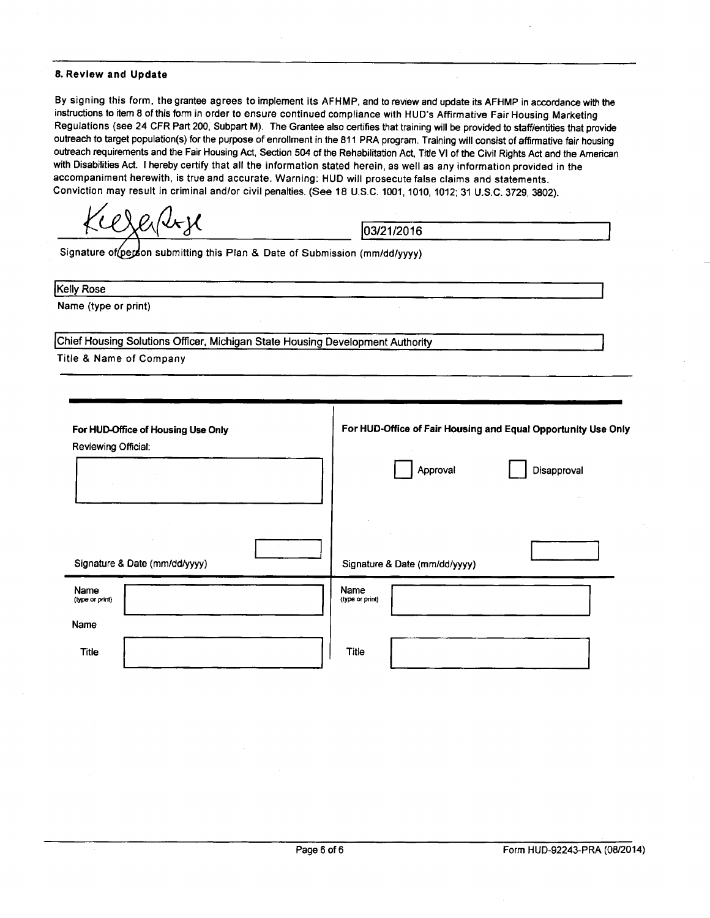#### 8. Review and Update

By signing this form, the grantee agrees to implement its AFHMP, and to review and update its AFHMP in accordance with the instructions to item 8 of this form in order to ensure continued compliance with HUD's Affirmative Fair Housing Marketing Regulations (see 24 CFR Part 200, Subpart M). The Grantee also certifies that training will be provided to staff/entities that provide outreach to target population(s) for the purpose of enrollment in the 811 PRA program. Training will consist of affirmative fair housing outreach requirements and the Fair Housing Act, Section 504 of the Rehabilitation Act, Title VI of the Civil Rights Act and the American with Disabilities Act. I hereby certify that all the information stated herein, as well as any information provided in the accompaniment herewith, is true and accurate. Warning: HUD will prosecute false claims and statements. Conviction may result in criminal and/or civil penalties. (See 18 U.S.C. 1001, 1010, 1012; 31 U.S.C. 3729, 3802).

 $\chi$ e $\sqrt{4}$ y

Signature of (person submitting this Plan & Date of Submission (mm/dd/yyyy)

Kelly Rose

Name (type or print)

Chief Housing Solutions Officer, Michigan State Housing Development Authority

Title & Name of Company

| For HUD-Office of Housing Use Only<br>Reviewing Official: | For HUD-Office of Fair Housing and Equal Opportunity Use Only |
|-----------------------------------------------------------|---------------------------------------------------------------|
|                                                           | Approval<br>Disapproval                                       |
| Signature & Date (mm/dd/yyyy)                             | Signature & Date (mm/dd/yyyy)                                 |
| Name<br>(type or print)                                   | Name<br>(type or print)                                       |
| Name                                                      |                                                               |
| <b>Title</b>                                              | Title                                                         |